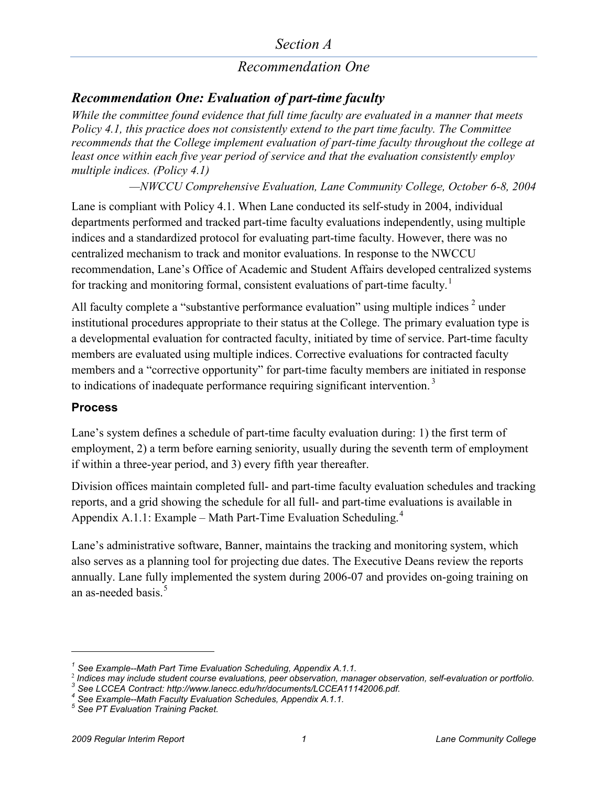#### *Section A*

### *Recommendation One*

#### *Recommendation One: Evaluation of part-time faculty*

*While the committee found evidence that full time faculty are evaluated in a manner that meets Policy 4.1, this practice does not consistently extend to the part time faculty. The Committee recommends that the College implement evaluation of part-time faculty throughout the college at least once within each five year period of service and that the evaluation consistently employ multiple indices. (Policy 4.1)*

*—NWCCU Comprehensive Evaluation, Lane Community College, October 6-8, 2004*

Lane is compliant with Policy 4.1. When Lane conducted its self-study in 2004, individual departments performed and tracked part-time faculty evaluations independently, using multiple indices and a standardized protocol for evaluating part-time faculty. However, there was no centralized mechanism to track and monitor evaluations. In response to the NWCCU recommendation, Lane's Office of Academic and Student Affairs developed centralized systems for tracking and monitoring formal, consistent evaluations of part-time faculty.<sup>[1](#page-0-0)</sup>

All faculty complete a "substantive performance evaluation" using multiple indices  $2$  under institutional procedures appropriate to their status at the College. The primary evaluation type is a developmental evaluation for contracted faculty, initiated by time of service. Part-time faculty members are evaluated using multiple indices. Corrective evaluations for contracted faculty members and a "corrective opportunity" for part-time faculty members are initiated in response to indications of inadequate performance requiring significant intervention.<sup>[3](#page-0-2)</sup>

#### **Process**

 $\overline{a}$ 

Lane's system defines a schedule of part-time faculty evaluation during: 1) the first term of employment, 2) a term before earning seniority, usually during the seventh term of employment if within a three-year period, and 3) every fifth year thereafter.

Division offices maintain completed full- and part-time faculty evaluation schedules and tracking reports, and a grid showing the schedule for all full- and part-time evaluations is available in Appendix A.1.1: Example – Math Part-Time Evaluation Scheduling.<sup>[4](#page-0-3)</sup>

Lane's administrative software, Banner, maintains the tracking and monitoring system, which also serves as a planning tool for projecting due dates. The Executive Deans review the reports annually. Lane fully implemented the system during 2006-07 and provides on-going training on an as-needed basis $<sup>5</sup>$  $<sup>5</sup>$  $<sup>5</sup>$ </sup>

<span id="page-0-1"></span><span id="page-0-0"></span><sup>&</sup>lt;sup>1</sup> See Example--Math Part Time Evaluation Scheduling, Appendix A.1.1.<br>
<sup>2</sup> Indices may include student course evaluations, peer observation, manager observation, self-evaluation or portfolio.<br>
<sup>3</sup> See LCCEA Contract: htt

<span id="page-0-3"></span><span id="page-0-2"></span>

<span id="page-0-4"></span>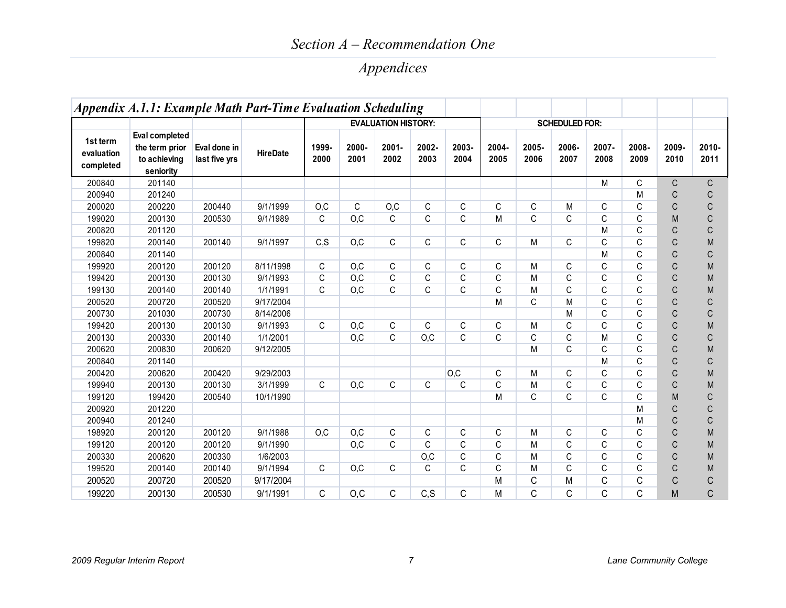### *Section A – Recommendation One*

# *Appendices*

|                                     |                                                               | Eval done in<br>last five yrs |                 | Appendix A.1.1: Example Math Part-Time Evaluation Scheduling<br><b>EVALUATION HISTORY:</b> |               |                  |               |               |               |               |                                        |               |               |               |                  |
|-------------------------------------|---------------------------------------------------------------|-------------------------------|-----------------|--------------------------------------------------------------------------------------------|---------------|------------------|---------------|---------------|---------------|---------------|----------------------------------------|---------------|---------------|---------------|------------------|
| 1st term<br>evaluation<br>completed | Eval completed<br>the term prior<br>to achieving<br>seniority |                               | <b>HireDate</b> | 1999-<br>2000                                                                              | 2000-<br>2001 | $2001 -$<br>2002 | 2002-<br>2003 | 2003-<br>2004 | 2004-<br>2005 | 2005-<br>2006 | <b>SCHEDULED FOR:</b><br>2006-<br>2007 | 2007-<br>2008 | 2008-<br>2009 | 2009-<br>2010 | $2010 -$<br>2011 |
| 200840                              | 201140                                                        |                               |                 |                                                                                            |               |                  |               |               |               |               |                                        | M             | C             | $\mathsf{C}$  | $\mathsf C$      |
| 200940                              | 201240                                                        |                               |                 |                                                                                            |               |                  |               |               |               |               |                                        |               | M             | C             | $\mathsf C$      |
| 200020                              | 200220                                                        | 200440                        | 9/1/1999        | O, C                                                                                       | $\mathsf C$   | O, C             | $\mathsf C$   | C             | $\mathsf C$   | C             | M                                      | C             | C             | $\mathsf{C}$  | $\mathsf C$      |
| 199020                              | 200130                                                        | 200530                        | 9/1/1989        | C                                                                                          | O, C          | C                | C             | C             | M             | C             | C                                      | C             | C             | M             | $\mathsf C$      |
| 200820                              | 201120                                                        |                               |                 |                                                                                            |               |                  |               |               |               |               |                                        | M             | C             | $\mathsf{C}$  | $\mathsf C$      |
| 199820                              | 200140                                                        | 200140                        | 9/1/1997        | C, S                                                                                       | O.C           | C.               | C             | C             | $\mathsf{C}$  | M             | C                                      | C             | C             | $\mathsf{C}$  | M                |
| 200840                              | 201140                                                        |                               |                 |                                                                                            |               |                  |               |               |               |               |                                        | M             | C             | $\mathsf{C}$  | $\mathsf C$      |
| 199920                              | 200120                                                        | 200120                        | 8/11/1998       | C                                                                                          | O, C          | C                | C             | C             | C             | M             | C                                      | C             | C             | $\mathsf C$   | M                |
| 199420                              | 200130                                                        | 200130                        | 9/1/1993        | С                                                                                          | O, C          | C                | C             | C             | C             | M             | C                                      | C             | C             | $\mathsf C$   | M                |
| 199130                              | 200140                                                        | 200140                        | 1/1/1991        | C                                                                                          | O, C          | C                | C             | C             | $\mathsf C$   | M             | C                                      | C             | C             | $\mathsf C$   | M                |
| 200520                              | 200720                                                        | 200520                        | 9/17/2004       |                                                                                            |               |                  |               |               | M             | C             | M                                      | C             | C             | $\mathsf C$   | $\mathsf C$      |
| 200730                              | 201030                                                        | 200730                        | 8/14/2006       |                                                                                            |               |                  |               |               |               |               | M                                      | C             | C             | $\mathsf C$   | $\mathsf C$      |
| 199420                              | 200130                                                        | 200130                        | 9/1/1993        | C                                                                                          | O.C           | C                | C             | C             | C             | M             | C                                      | C             | C             | $\mathsf C$   | M                |
| 200130                              | 200330                                                        | 200140                        | 1/1/2001        |                                                                                            | O, C          | C                | O, C          | C             | C             | C             | C                                      | M             | C             | $\mathsf C$   | $\mathsf C$      |
| 200620                              | 200830                                                        | 200620                        | 9/12/2005       |                                                                                            |               |                  |               |               |               | M             | C                                      | C             | C             | $\mathsf C$   | M                |
| 200840                              | 201140                                                        |                               |                 |                                                                                            |               |                  |               |               |               |               |                                        | M             | C             | $\mathsf C$   | $\mathsf C$      |
| 200420                              | 200620                                                        | 200420                        | 9/29/2003       |                                                                                            |               |                  |               | O, C          | C             | M             | C                                      | C             | C             | $\mathsf C$   | M                |
| 199940                              | 200130                                                        | 200130                        | 3/1/1999        | C                                                                                          | O, C          | C                | C             | C             | C             | M             | C                                      | C             | C             | $\mathsf{C}$  | M                |
| 199120                              | 199420                                                        | 200540                        | 10/1/1990       |                                                                                            |               |                  |               |               | M             | C             | C                                      | C             | C             | M             | $\mathsf C$      |
| 200920                              | 201220                                                        |                               |                 |                                                                                            |               |                  |               |               |               |               |                                        |               | M             | $\mathsf C$   | $\mathsf C$      |
| 200940                              | 201240                                                        |                               |                 |                                                                                            |               |                  |               |               |               |               |                                        |               | M             | $\mathsf C$   | $\mathsf C$      |
| 198920                              | 200120                                                        | 200120                        | 9/1/1988        | O, C                                                                                       | O, C          | $\mathsf C$      | C             | С             | C             | M             | C                                      | C             | C             | $\mathsf C$   | M                |
| 199120                              | 200120                                                        | 200120                        | 9/1/1990        |                                                                                            | O, C          | C.               | C             | C             | C             | M             | C                                      | C             | C             | $\mathsf C$   | M                |
| 200330                              | 200620                                                        | 200330                        | 1/6/2003        |                                                                                            |               |                  | O, C          | C             | C             | M             | C                                      | C             | C             | $\mathsf C$   | M                |
| 199520                              | 200140                                                        | 200140                        | 9/1/1994        | C                                                                                          | O, C          | C.               | C             | C             | C             | M             | C                                      | C             | C             | $\mathsf{C}$  | M                |
| 200520                              | 200720                                                        | 200520                        | 9/17/2004       |                                                                                            |               |                  |               |               | M             | С             | M                                      | С             | С             | C             | $\mathsf C$      |
| 199220                              | 200130                                                        | 200530                        | 9/1/1991        | C                                                                                          | O, C          | C                | C, S          | C             | M             | C             | C                                      | C             | C             | M             | $\mathsf C$      |